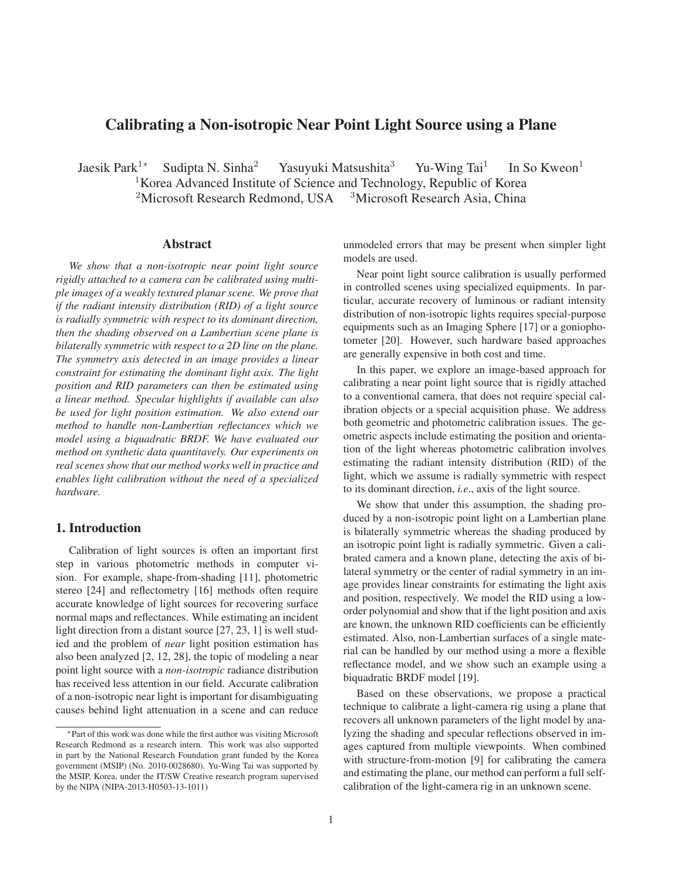# Calibrating a Non-isotropic Near Point Light Source using a Plane

Jaesik Park<sup>1∗</sup> Sudipta N. Sinha<sup>2</sup> Yasuyuki Matsushita<sup>3</sup> Yu-Wing Tai<sup>1</sup> In So Kweon<sup>1</sup> <sup>1</sup>Korea Advanced Institute of Science and Technology, Republic of Korea <sup>2</sup>Microsoft Research Redmond, USA  $3$ Microsoft Research Asia, China

## Abstract

*We show that a non-isotropic near point light source rigidly attached to a camera can be calibrated using multiple images of a weakly textured planar scene. We prove that if the radiant intensity distribution (RID) of a light source is radially symmetric with respect to its dominant direction, then the shading observed on a Lambertian scene plane is bilaterally symmetric with respect to a 2D line on the plane. The symmetry axis detected in an image provides a linear constraint for estimating the dominant light axis. The light position and RID parameters can then be estimated using a linear method. Specular highlights if available can also be used for light position estimation. We also extend our method to handle non-Lambertian reflectances which we model using a biquadratic BRDF. We have evaluated our method on synthetic data quantitavely. Our experiments on real scenes show that our method works well in practice and enables light calibration without the need of a specialized hardware.*

## 1. Introduction

Calibration of light sources is often an important first step in various photometric methods in computer vision. For example, shape-from-shading [11], photometric stereo [24] and reflectometry [16] methods often require accurate knowledge of light sources for recovering surface normal maps and reflectances. While estimating an incident light direction from a distant source [27, 23, 1] is well studied and the problem of *near* light position estimation has also been analyzed [2, 12, 28], the topic of modeling a near point light source with a *non-isotropic* radiance distribution has received less attention in our field. Accurate calibration of a non-isotropic near light is important for disambiguating causes behind light attenuation in a scene and can reduce

unmodeled errors that may be present when simpler light models are used.

Near point light source calibration is usually performed in controlled scenes using specialized equipments. In particular, accurate recovery of luminous or radiant intensity distribution of non-isotropic lights requires special-purpose equipments such as an Imaging Sphere [17] or a goniophotometer [20]. However, such hardware based approaches are generally expensive in both cost and time.

In this paper, we explore an image-based approach for calibrating a near point light source that is rigidly attached to a conventional camera, that does not require special calibration objects or a special acquisition phase. We address both geometric and photometric calibration issues. The geometric aspects include estimating the position and orientation of the light whereas photometric calibration involves estimating the radiant intensity distribution (RID) of the light, which we assume is radially symmetric with respect to its dominant direction, *i.e*., axis of the light source.

We show that under this assumption, the shading produced by a non-isotropic point light on a Lambertian plane is bilaterally symmetric whereas the shading produced by an isotropic point light is radially symmetric. Given a calibrated camera and a known plane, detecting the axis of bilateral symmetry or the center of radial symmetry in an image provides linear constraints for estimating the light axis and position, respectively. We model the RID using a loworder polynomial and show that if the light position and axis are known, the unknown RID coefficients can be efficiently estimated. Also, non-Lambertian surfaces of a single material can be handled by our method using a more a flexible reflectance model, and we show such an example using a biquadratic BRDF model [19].

Based on these observations, we propose a practical technique to calibrate a light-camera rig using a plane that recovers all unknown parameters of the light model by analyzing the shading and specular reflections observed in images captured from multiple viewpoints. When combined with structure-from-motion [9] for calibrating the camera and estimating the plane, our method can perform a full selfcalibration of the light-camera rig in an unknown scene.

<sup>∗</sup>Part of this work was done while the first author was visiting Microsoft Research Redmond as a research intern. This work was also supported in part by the National Research Foundation grant funded by the Korea government (MSIP) (No. 2010-0028680). Yu-Wing Tai was supported by the MSIP, Korea, under the IT/SW Creative research program supervised by the NIPA (NIPA-2013-H0503-13-1011)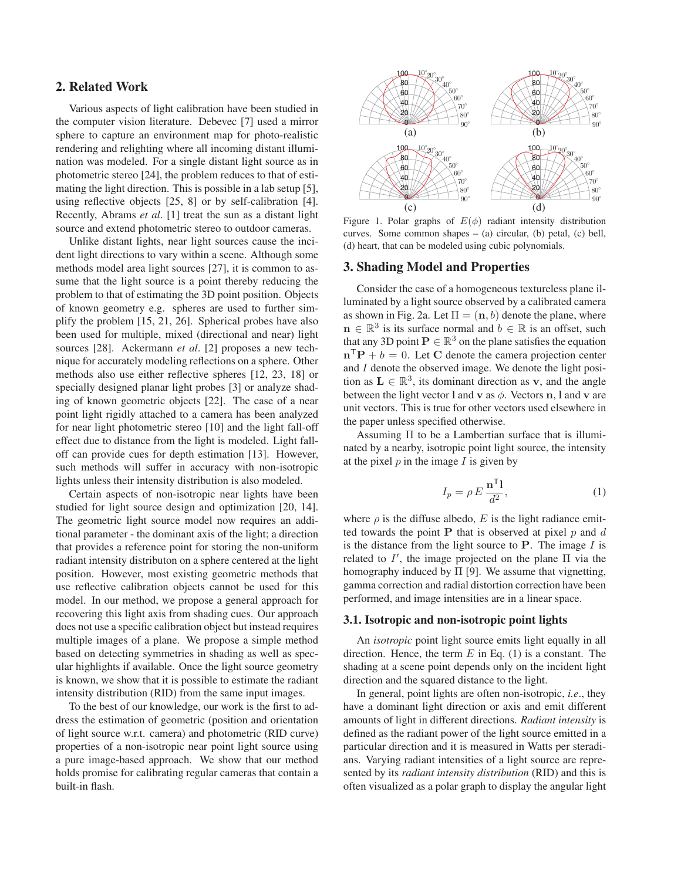## 2. Related Work

Various aspects of light calibration have been studied in the computer vision literature. Debevec [7] used a mirror sphere to capture an environment map for photo-realistic rendering and relighting where all incoming distant illumination was modeled. For a single distant light source as in photometric stereo [24], the problem reduces to that of estimating the light direction. This is possible in a lab setup [5], using reflective objects [25, 8] or by self-calibration [4]. Recently, Abrams *et al*. [1] treat the sun as a distant light source and extend photometric stereo to outdoor cameras.

Unlike distant lights, near light sources cause the incident light directions to vary within a scene. Although some methods model area light sources [27], it is common to assume that the light source is a point thereby reducing the problem to that of estimating the 3D point position. Objects of known geometry e.g. spheres are used to further simplify the problem [15, 21, 26]. Spherical probes have also been used for multiple, mixed (directional and near) light sources [28]. Ackermann *et al*. [2] proposes a new technique for accurately modeling reflections on a sphere. Other methods also use either reflective spheres [12, 23, 18] or specially designed planar light probes [3] or analyze shading of known geometric objects [22]. The case of a near point light rigidly attached to a camera has been analyzed for near light photometric stereo [10] and the light fall-off effect due to distance from the light is modeled. Light falloff can provide cues for depth estimation [13]. However, such methods will suffer in accuracy with non-isotropic lights unless their intensity distribution is also modeled.

Certain aspects of non-isotropic near lights have been studied for light source design and optimization [20, 14]. The geometric light source model now requires an additional parameter - the dominant axis of the light; a direction that provides a reference point for storing the non-uniform radiant intensity distributon on a sphere centered at the light position. However, most existing geometric methods that use reflective calibration objects cannot be used for this model. In our method, we propose a general approach for recovering this light axis from shading cues. Our approach does not use a specific calibration object but instead requires multiple images of a plane. We propose a simple method based on detecting symmetries in shading as well as specular highlights if available. Once the light source geometry is known, we show that it is possible to estimate the radiant intensity distribution (RID) from the same input images.

To the best of our knowledge, our work is the first to address the estimation of geometric (position and orientation of light source w.r.t. camera) and photometric (RID curve) properties of a non-isotropic near point light source using a pure image-based approach. We show that our method holds promise for calibrating regular cameras that contain a built-in flash.



Figure 1. Polar graphs of  $E(\phi)$  radiant intensity distribution curves. Some common shapes  $-$  (a) circular, (b) petal, (c) bell, (d) heart, that can be modeled using cubic polynomials.

#### 3. Shading Model and Properties

Consider the case of a homogeneous textureless plane illuminated by a light source observed by a calibrated camera as shown in Fig. 2a. Let  $\Pi = (\mathbf{n}, b)$  denote the plane, where  $\mathbf{n} \in \mathbb{R}^3$  is its surface normal and  $b \in \mathbb{R}$  is an offset, such that any 3D point  $P \in \mathbb{R}^3$  on the plane satisfies the equation  $\mathbf{n}^\mathsf{T} \mathbf{P} + b = 0$ . Let **C** denote the camera projection center and I denote the observed image. We denote the light position as  $L \in \mathbb{R}^3$ , its dominant direction as **v**, and the angle between the light vector **l** and **v** as  $\phi$ . Vectors **n**, **l** and **v** are unit vectors. This is true for other vectors used elsewhere in the paper unless specified otherwise.

Assuming Π to be a Lambertian surface that is illuminated by a nearby, isotropic point light source, the intensity at the pixel  $p$  in the image  $I$  is given by

$$
I_p = \rho E \frac{\mathbf{n}^\mathsf{T} \mathbf{l}}{d^2},\tag{1}
$$

where  $\rho$  is the diffuse albedo, E is the light radiance emitted towards the point  $P$  that is observed at pixel  $p$  and  $d$ is the distance from the light source to **P**. The image I is related to I', the image projected on the plane  $\Pi$  via the homography induced by  $\Pi$  [01]. We assume that via petting homography induced by  $\Pi$  [9]. We assume that vignetting, gamma correction and radial distortion correction have been performed, and image intensities are in a linear space.

#### 3.1. Isotropic and non-isotropic point lights

An *isotropic* point light source emits light equally in all direction. Hence, the term  $E$  in Eq. (1) is a constant. The shading at a scene point depends only on the incident light direction and the squared distance to the light.

In general, point lights are often non-isotropic, *i.e*., they have a dominant light direction or axis and emit different amounts of light in different directions. *Radiant intensity* is defined as the radiant power of the light source emitted in a particular direction and it is measured in Watts per steradians. Varying radiant intensities of a light source are represented by its *radiant intensity distribution* (RID) and this is often visualized as a polar graph to display the angular light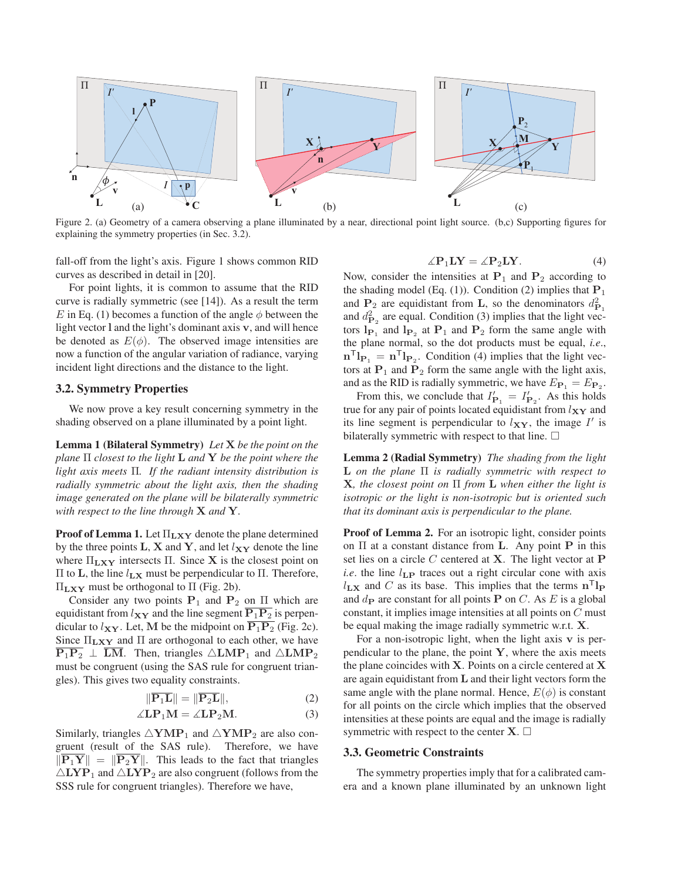

Figure 2. (a) Geometry of a camera observing a plane illuminated by a near, directional point light source. (b,c) Supporting figures for explaining the symmetry properties (in Sec. 3.2).

fall-off from the light's axis. Figure 1 shows common RID curves as described in detail in [20].

For point lights, it is common to assume that the RID curve is radially symmetric (see [14]). As a result the term E in Eq. (1) becomes a function of the angle  $\phi$  between the light vector **l** and the light's dominant axis **v**, and will hence be denoted as  $E(\phi)$ . The observed image intensities are now a function of the angular variation of radiance, varying incident light directions and the distance to the light.

### 3.2. Symmetry Properties

We now prove a key result concerning symmetry in the shading observed on a plane illuminated by a point light.

Lemma 1 (Bilateral Symmetry) *Let* **X** *be the point on the plane* Π *closest to the light* **<sup>L</sup>** *and* **<sup>Y</sup>** *be the point where the light axis meets* Π*. If the radiant intensity distribution is radially symmetric about the light axis, then the shading image generated on the plane will be bilaterally symmetric with respect to the line through* **X** *and* **Y***.*

Proof of Lemma 1. Let <sup>Π</sup>**LXY** denote the plane determined by the three points  $\mathbf{L}, \mathbf{X}$  and  $\mathbf{Y}$ , and let  $l_{\mathbf{X}\mathbf{Y}}$  denote the line where <sup>Π</sup>**LXY** intersects <sup>Π</sup>. Since **<sup>X</sup>** is the closest point on <sup>Π</sup> to **<sup>L</sup>**, the line <sup>l</sup>**LX** must be perpendicular to <sup>Π</sup>. Therefore, <sup>Π</sup>**LXY** must be orthogonal to <sup>Π</sup> (Fig. 2b).

Consider any two points  $P_1$  and  $P_2$  on  $\Pi$  which are equidistant from  $l_{XY}$  and the line segment  $\overline{P_1P_2}$  is perpendicular to  $l_{XY}$ . Let, M be the midpoint on  $\overline{P_1P_2}$  (Fig. 2c). Since <sup>Π</sup>**LXY** and <sup>Π</sup> are orthogonal to each other, we have  $\overline{P_1P_2} \perp \overline{LM}$ . Then, triangles  $\triangle LMP_1$  and  $\triangle LMP_2$ must be congruent (using the SAS rule for congruent triangles). This gives two equality constraints.

$$
\|\overline{\mathbf{P}_1 \mathbf{L}}\| = \|\overline{\mathbf{P}_2 \mathbf{L}}\|,\tag{2}
$$

$$
\angle L\mathbf{P}_1\mathbf{M} = \angle L\mathbf{P}_2\mathbf{M}.\tag{3}
$$

Similarly, triangles  $\triangle \text{YMP}_1$  and  $\triangle \text{YMP}_2$  are also congruent (result of the SAS rule). Therefore, we have gruent (result of the SAS rule).  $\|\overline{P_1Y}\| = \|\overline{P_2Y}\|$ . This leads to the fact that triangles  $\triangle$ **LYP**<sub>1</sub> and  $\triangle$ **LYP**<sub>2</sub> are also congruent (follows from the SSS rule for congruent triangles). Therefore we have,

$$
\angle P_1LY = \angle P_2LY.
$$
 (4)

 $\angle P_1 \mathbf{L} \mathbf{Y} = \angle P_2 \mathbf{L} \mathbf{Y}$ . (4)<br>Now, consider the intensities at **P**<sub>1</sub> and **P**<sub>2</sub> according to the shading model (Eq. (1)). Condition (2) implies that  $P_1$ and  $P_2$  are equidistant from **L**, so the denominators  $d_{P_1}^2$ and  $d_{\mathbf{P}_2}^2$  are equal. Condition (3) implies that the light vectors  $\mathbf{l}_{\mathbf{P}_1}$  and  $\mathbf{l}_{\mathbf{P}_2}$  at  $\mathbf{P}_1$  and  $\mathbf{P}_2$  form the same angle with the plane normal, so the dot products must be equal, *i.e*.,  $\mathbf{n}^{\mathsf{T}}\mathbf{l}_{\mathbf{P}_1} = \mathbf{n}^{\mathsf{T}}\mathbf{l}_{\mathbf{P}_2}$ . Condition (4) implies that the light vectors at  $P_1$  and  $P_2$  form the same angle with the light axis, and as the RID is radially symmetric, we have  $E_{\mathbf{P}_1} = E_{\mathbf{P}_2}$ .

From this, we conclude that  $I'_{\mathbf{P}_1} = I'_{\mathbf{P}_2}$ . As this holds<br>e for any pair of points located equidistant from ly x and true for any pair of points located equidistant from  $l_{XY}$  and its line segment is perpendicular to  $l_{XY}$ , the image  $I'$  is bilaterally symmetric with respect to that line.  $\square$ 

Lemma 2 (Radial Symmetry) *The shading from the light* **<sup>L</sup>** *on the plane* Π *is radially symmetric with respect to* **<sup>X</sup>***, the closest point on* Π *from* **<sup>L</sup>** *when either the light is isotropic or the light is non-isotropic but is oriented such that its dominant axis is perpendicular to the plane.*

Proof of Lemma 2. For an isotropic light, consider points on Π at a constant distance from **<sup>L</sup>**. Any point **<sup>P</sup>** in this set lies on a circle C centered at **X**. The light vector at **P** *i.e.* the line  $l_{\text{LP}}$  traces out a right circular cone with axis  $l_{\mathbf{L}\mathbf{X}}$  and C as its base. This implies that the terms  $\mathbf{n}^{\mathsf{T}}\mathbf{l}_{\mathbf{P}}$ and  $d_{\mathbf{P}}$  are constant for all points **P** on *C*. As *E* is a global constant, it implies image intensities at all points on C must be equal making the image radially symmetric w.r.t. **X**.

For a non-isotropic light, when the light axis **v** is perpendicular to the plane, the point **Y**, where the axis meets the plane coincides with **X**. Points on a circle centered at **X** are again equidistant from **L** and their light vectors form the same angle with the plane normal. Hence,  $E(\phi)$  is constant for all points on the circle which implies that the observed intensities at these points are equal and the image is radially symmetric with respect to the center  $X$ .  $\Box$ 

#### 3.3. Geometric Constraints

The symmetry properties imply that for a calibrated camera and a known plane illuminated by an unknown light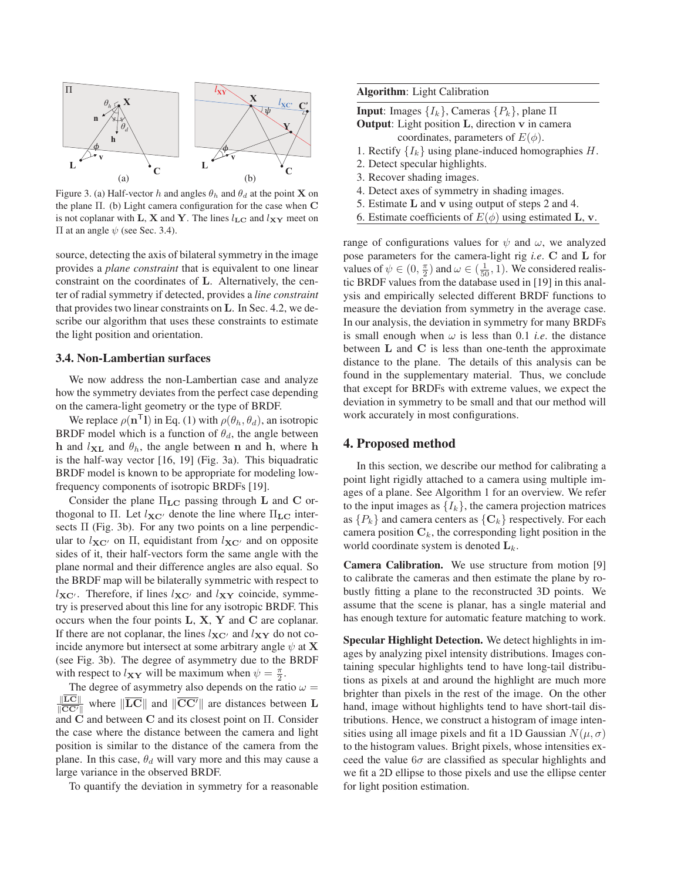

Figure 3. (a) Half-vector h and angles  $\theta_h$  and  $\theta_d$  at the point **X** on the plane Π. (b) Light camera configuration for the case when **C** is not coplanar with **L**, **X** and **Y**. The lines  $l_{\mathbf{LC}}$  and  $l_{\mathbf{XY}}$  meet on  $\Pi$  at an angle  $ψ$  (see Sec. 3.4).

source, detecting the axis of bilateral symmetry in the image provides a *plane constraint* that is equivalent to one linear constraint on the coordinates of **L**. Alternatively, the center of radial symmetry if detected, provides a *line constraint* that provides two linear constraints on **L**. In Sec. 4.2, we describe our algorithm that uses these constraints to estimate the light position and orientation.

#### 3.4. Non-Lambertian surfaces

We now address the non-Lambertian case and analyze how the symmetry deviates from the perfect case depending on the camera-light geometry or the type of BRDF.

We replace  $\rho(\mathbf{n}^T\mathbf{l})$  in Eq. (1) with  $\rho(\theta_h, \theta_d)$ , an isotropic BRDF model which is a function of  $\theta_d$ , the angle between **h** and  $l_{\text{XL}}$  and  $\theta_h$ , the angle between **n** and **h**, where **h** is the half-way vector [16, 19] (Fig. 3a). This biquadratic BRDF model is known to be appropriate for modeling lowfrequency components of isotropic BRDFs [19].

Consider the plane <sup>Π</sup>**LC** passing through **<sup>L</sup>** and **<sup>C</sup>** orthogonal to  $\Pi$ . Let  $l_{\mathbf{XC}}$  denote the line where  $\Pi_{\mathbf{LC}}$  inter-<br>sects  $\Pi$  (Fig. 3b). For any two points on a line perpendicsects  $\Pi$  (Fig. 3b). For any two points on a line perpendicular to  $l_{\mathbf{X}C'}$  on  $\Pi$ , equidistant from  $l_{\mathbf{X}C'}$  and on opposite sides of it their half-vectors form the same angle with the sides of it, their half-vectors form the same angle with the plane normal and their difference angles are also equal. So the BRDF map will be bilaterally symmetric with respect to  $l_{\mathbf{X}C}$ . Therefore, if lines  $l_{\mathbf{X}C}$  and  $l_{\mathbf{X}Y}$  coincide, symmetry is preserved about this line for any isotropic BRDF. This occurs when the four points **L**, **X**, **Y** and **C** are coplanar. If there are not coplanar, the lines  $l_{\mathbf{X}C}$  and  $l_{\mathbf{X}\mathbf{Y}}$  do not coincide anymore but intersect at some arbitrary angle  $\psi$  at **X** (see Fig. 3b). The degree of asymmetry due to the BRDF with respect to  $l_{XY}$  will be maximum when  $\psi = \frac{\pi}{2}$ .<br>The degree of asymmetry also depends on the rat

The degree of asymmetry also depends on the ratio  $\omega = \frac{\|\overline{LC}\|}{\|\overline{LC}\|}$  where  $\|\overline{LC}\|$  and  $\|\overline{CC'}\|$  are distances between L  $\frac{\left|\mathbf{LC}\right|}{\left|\mathbf{CC'}\right|}$  where  $\left|\mathbf{LC}\right|$  and  $\left|\mathbf{CC'}\right|$  are distances between **L** and **<sup>C</sup>** and between **<sup>C</sup>** and its closest point on Π. Consider the case where the distance between the camera and light position is similar to the distance of the camera from the plane. In this case,  $\theta_d$  will vary more and this may cause a large variance in the observed BRDF.

To quantify the deviation in symmetry for a reasonable

Algorithm: Light Calibration

**Input**: Images  ${I_k}$ , Cameras  ${P_k}$ , plane Π Output: Light position **L**, direction **v** in camera

- coordinates, parameters of  $E(\phi)$ .
- 1. Rectify  $\{I_k\}$  using plane-induced homographies H.
- 2. Detect specular highlights.
- 3. Recover shading images.
- 4. Detect axes of symmetry in shading images.
- 5. Estimate **L** and **v** using output of steps 2 and 4.
- 6. Estimate coefficients of  $E(\phi)$  using estimated **L**, **v**.

range of configurations values for  $\psi$  and  $\omega$ , we analyzed pose parameters for the camera-light rig *i.e*. **C** and **L** for values of  $\psi \in (0, \frac{\pi}{2})$  and  $\omega \in (\frac{1}{50}, 1)$ . We considered realistic RRDF values from the database used in [19] in this analtic BRDF values from the database used in [19] in this analysis and empirically selected different BRDF functions to measure the deviation from symmetry in the average case. In our analysis, the deviation in symmetry for many BRDFs is small enough when  $\omega$  is less than 0.1 *i.e.* the distance between **L** and **C** is less than one-tenth the approximate distance to the plane. The details of this analysis can be found in the supplementary material. Thus, we conclude that except for BRDFs with extreme values, we expect the deviation in symmetry to be small and that our method will work accurately in most configurations.

## 4. Proposed method

In this section, we describe our method for calibrating a point light rigidly attached to a camera using multiple images of a plane. See Algorithm 1 for an overview. We refer to the input images as  $\{I_k\}$ , the camera projection matrices as  $\{P_k\}$  and camera centers as  $\{C_k\}$  respectively. For each camera position  $C_k$ , the corresponding light position in the world coordinate system is denoted  $L_k$ .

Camera Calibration. We use structure from motion [9] to calibrate the cameras and then estimate the plane by robustly fitting a plane to the reconstructed 3D points. We assume that the scene is planar, has a single material and has enough texture for automatic feature matching to work.

Specular Highlight Detection. We detect highlights in images by analyzing pixel intensity distributions. Images containing specular highlights tend to have long-tail distributions as pixels at and around the highlight are much more brighter than pixels in the rest of the image. On the other hand, image without highlights tend to have short-tail distributions. Hence, we construct a histogram of image intensities using all image pixels and fit a 1D Gaussian  $N(\mu, \sigma)$ to the histogram values. Bright pixels, whose intensities exceed the value  $6\sigma$  are classified as specular highlights and we fit a 2D ellipse to those pixels and use the ellipse center for light position estimation.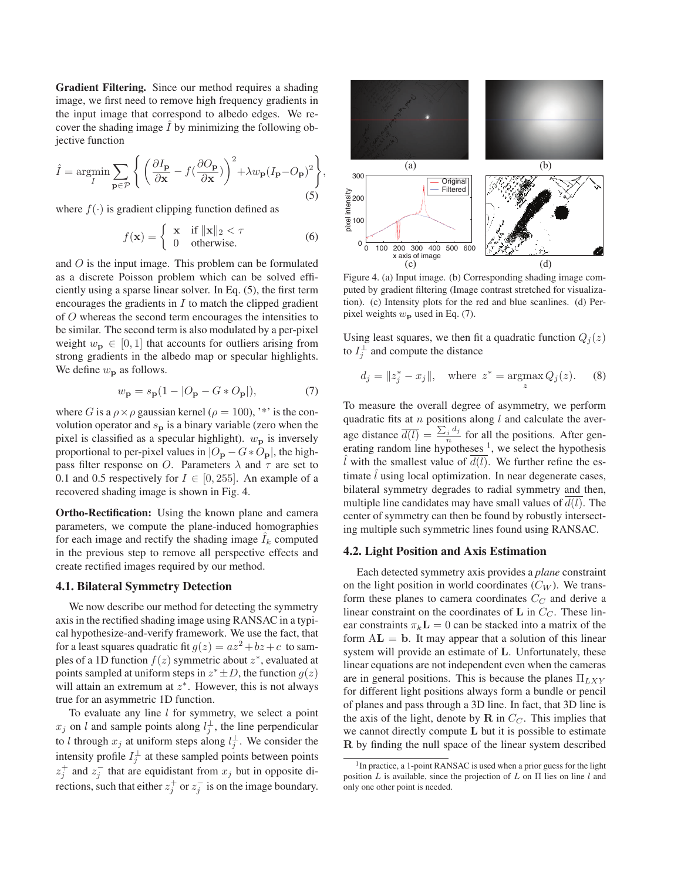Gradient Filtering. Since our method requires a shading image, we first need to remove high frequency gradients in the input image that correspond to albedo edges. We recover the shading image  $\hat{I}$  by minimizing the following objective function

$$
\hat{I} = \underset{I}{\operatorname{argmin}} \sum_{\mathbf{p} \in \mathcal{P}} \left\{ \left( \frac{\partial I_{\mathbf{p}}}{\partial \mathbf{x}} - f(\frac{\partial O_{\mathbf{p}}}{\partial \mathbf{x}}) \right)^2 + \lambda w_{\mathbf{p}} (I_{\mathbf{p}} - O_{\mathbf{p}})^2 \right\},\tag{5}
$$

where  $f(\cdot)$  is gradient clipping function defined as

$$
f(\mathbf{x}) = \begin{cases} \mathbf{x} & \text{if } ||\mathbf{x}||_2 < \tau \\ 0 & \text{otherwise.} \end{cases}
$$
 (6)

and O is the input image. This problem can be formulated as a discrete Poisson problem which can be solved efficiently using a sparse linear solver. In Eq. (5), the first term encourages the gradients in  $I$  to match the clipped gradient of O whereas the second term encourages the intensities to be similar. The second term is also modulated by a per-pixel weight  $w_p \in [0, 1]$  that accounts for outliers arising from strong gradients in the albedo map or specular highlights. We define  $w_{\mathbf{p}}$  as follows.

$$
w_{\mathbf{p}} = s_{\mathbf{p}}(1 - |O_{\mathbf{p}} - G \ast O_{\mathbf{p}}|), \tag{7}
$$

where G is a  $\rho \times \rho$  gaussian kernel ( $\rho = 100$ ), '\*' is the convolution operator and  $s_p$  is a binary variable (zero when the pixel is classified as a specular highlight).  $w_{\mathbf{p}}$  is inversely proportional to per-pixel values in  $|O_{\bf p} - G * O_{\bf p}|$ , the highpass filter response on O. Parameters  $\lambda$  and  $\tau$  are set to 0.1 and 0.5 respectively for  $I \in [0, 255]$ . An example of a recovered shading image is shown in Fig. 4.

Ortho-Rectification: Using the known plane and camera parameters, we compute the plane-induced homographies for each image and rectify the shading image  $I_k$  computed in the previous step to remove all perspective effects and create rectified images required by our method.

### 4.1. Bilateral Symmetry Detection

We now describe our method for detecting the symmetry axis in the rectified shading image using RANSAC in a typical hypothesize-and-verify framework. We use the fact, that for a least squares quadratic fit  $g(z) = az^2 + bz + c$  to samples of a 1D function  $f(z)$  symmetric about  $z^*$ , evaluated at points sampled at uniform steps in  $z^* \pm D$ , the function  $g(z)$ will attain an extremum at  $z^*$ . However, this is not always true for an asymmetric 1D function.

To evaluate any line  $l$  for symmetry, we select a point  $x_j$  on l and sample points along  $l_j^{\perp}$ , the line perpendicular to l through  $x_j$  at uniform steps along  $l_j^{\perp}$ . We consider the intensity profile  $I_i^{\perp}$  at these sampled points between points  $z_i^+$  and  $z_i^-$  that are equidistant from  $x_j$  but in opposite directions, such that either  $z_i^+$  or  $z_i^-$  is on the image boundary.



Figure 4. (a) Input image. (b) Corresponding shading image computed by gradient filtering (Image contrast stretched for visualization). (c) Intensity plots for the red and blue scanlines. (d) Perpixel weights  $w_{\mathbf{p}}$  used in Eq. (7).

Using least squares, we then fit a quadratic function  $Q_j(z)$ to  $I_i^{\perp}$  and compute the distance

$$
d_j = \|z_j^* - x_j\|,
$$
 where  $z^* = \underset{z}{\text{argmax}} Q_j(z).$  (8)

To measure the overall degree of asymmetry, we perform quadratic fits at  $n$  positions along  $l$  and calculate the average distance  $\overline{d(l)} = \frac{\sum_j d_j}{n}$  for all the positions. After generating random line hypotheses  $\frac{1}{l}$  we select the hypothesis erating random line hypotheses  $<sup>1</sup>$ , we select the hypothesis</sup>  $\hat{l}$  with the smallest value of  $d(l)$ . We further refine the estimate  $\hat{l}$  using local optimization. In near degenerate cases, bilateral symmetry degrades to radial symmetry and then, multiple line candidates may have small values of  $d(l)$ . The center of symmetry can then be found by robustly intersecting multiple such symmetric lines found using RANSAC.

#### 4.2. Light Position and Axis Estimation

Each detected symmetry axis provides a *plane* constraint on the light position in world coordinates  $(C_W)$ . We transform these planes to camera coordinates  $C_C$  and derive a linear constraint on the coordinates of  $\bf{L}$  in  $C_C$ . These linear constraints  $\pi_k \mathbf{L} = 0$  can be stacked into a matrix of the form  $AL = b$ . It may appear that a solution of this linear system will provide an estimate of **L**. Unfortunately, these linear equations are not independent even when the cameras are in general positions. This is because the planes  $\Pi_{LXY}$ for different light positions always form a bundle or pencil of planes and pass through a 3D line. In fact, that 3D line is the axis of the light, denote by **R** in  $C_C$ . This implies that we cannot directly compute **L** but it is possible to estimate **R** by finding the null space of the linear system described

 $1$ In practice, a 1-point RANSAC is used when a prior guess for the light position *L* is available, since the projection of *L* on Π lies on line *l* and only one other point is needed.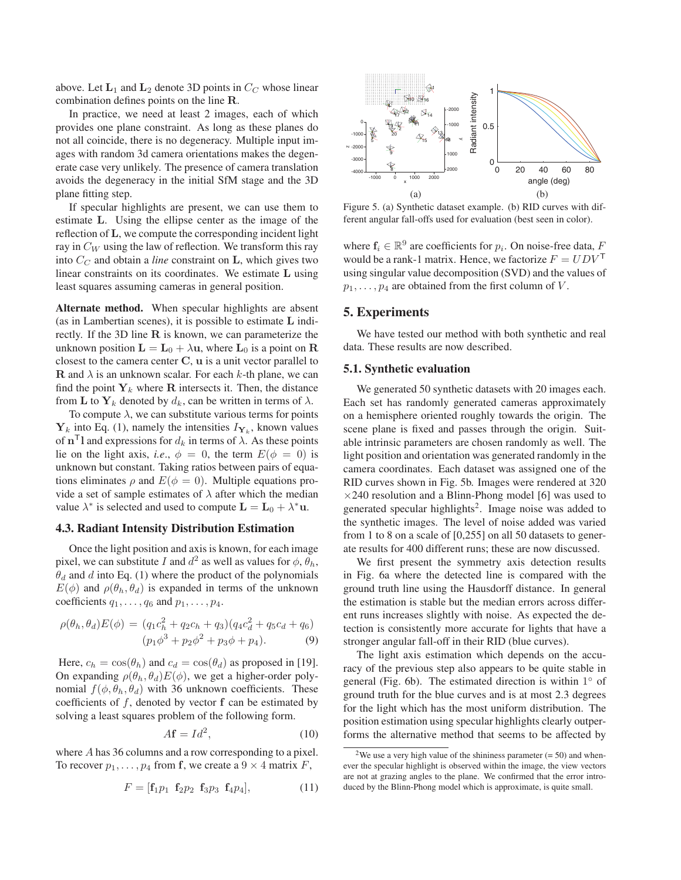above. Let  $\mathbf{L}_1$  and  $\mathbf{L}_2$  denote 3D points in  $C_C$  whose linear combination defines points on the line **R**.

In practice, we need at least 2 images, each of which provides one plane constraint. As long as these planes do not all coincide, there is no degeneracy. Multiple input images with random 3d camera orientations makes the degenerate case very unlikely. The presence of camera translation avoids the degeneracy in the initial SfM stage and the 3D plane fitting step.

If specular highlights are present, we can use them to estimate **L**. Using the ellipse center as the image of the reflection of **L**, we compute the corresponding incident light ray in  $C_W$  using the law of reflection. We transform this ray into  $C_C$  and obtain a *line* constraint on **L**, which gives two linear constraints on its coordinates. We estimate **L** using least squares assuming cameras in general position.

Alternate method. When specular highlights are absent (as in Lambertian scenes), it is possible to estimate **L** indirectly. If the 3D line **R** is known, we can parameterize the unknown position  $\mathbf{L} = \mathbf{L}_0 + \lambda \mathbf{u}$ , where  $\mathbf{L}_0$  is a point on **R** closest to the camera center **C**, **u** is a unit vector parallel to **R** and  $\lambda$  is an unknown scalar. For each k-th plane, we can find the point  $Y_k$  where **R** intersects it. Then, the distance from **L** to  $Y_k$  denoted by  $d_k$ , can be written in terms of  $\lambda$ .

To compute  $\lambda$ , we can substitute various terms for points  $Y_k$  into Eq. (1), namely the intensities  $I_{Y_k}$ , known values of  $\mathbf{n}^{\mathsf{T}}$ **l** and expressions for  $d_k$  in terms of  $\lambda$ . As these points lie on the light axis, *i.e.*,  $\phi = 0$ , the term  $E(\phi = 0)$  is unknown but constant. Taking ratios between pairs of equations eliminates  $\rho$  and  $E(\phi = 0)$ . Multiple equations provide a set of sample estimates of  $\lambda$  after which the median value  $\lambda^*$  is selected and used to compute  $\mathbf{L} = \mathbf{L}_0 + \lambda^* \mathbf{u}$ .

## 4.3. Radiant Intensity Distribution Estimation

Once the light position and axis is known, for each image pixel, we can substitute I and  $d^2$  as well as values for  $\phi$ ,  $\theta_h$ ,  $\theta_d$  and d into Eq. (1) where the product of the polynomials  $E(\phi)$  and  $\rho(\theta_h, \theta_d)$  is expanded in terms of the unknown coefficients  $q_1, \ldots, q_6$  and  $p_1, \ldots, p_4$ .

$$
\rho(\theta_h, \theta_d)E(\phi) = (q_1c_h^2 + q_2c_h + q_3)(q_4c_d^2 + q_5c_d + q_6)
$$
  

$$
(p_1\phi^3 + p_2\phi^2 + p_3\phi + p_4).
$$
 (9)

Here,  $c_h = \cos(\theta_h)$  and  $c_d = \cos(\theta_d)$  as proposed in [19]. On expanding  $\rho(\theta_h, \theta_d) E(\phi)$ , we get a higher-order polynomial  $f(\phi, \theta_h, \theta_d)$  with 36 unknown coefficients. These coefficients of f, denoted by vector **f** can be estimated by solving a least squares problem of the following form.

$$
A\mathbf{f} = Id^2,\tag{10}
$$

where A has 36 columns and a row corresponding to a pixel. To recover  $p_1, \ldots, p_4$  from **f**, we create a  $9 \times 4$  matrix *F*,

$$
F = [\mathbf{f}_1 p_1 \ \mathbf{f}_2 p_2 \ \mathbf{f}_3 p_3 \ \mathbf{f}_4 p_4], \tag{11}
$$



Figure 5. (a) Synthetic dataset example. (b) RID curves with different angular fall-offs used for evaluation (best seen in color).

where  $f_i \in \mathbb{R}^9$  are coefficients for  $p_i$ . On noise-free data, F would be a rank-1 matrix. Hence, we factorize  $F = U D V^{\mathsf{T}}$ using singular value decomposition (SVD) and the values of  $p_1, \ldots, p_4$  are obtained from the first column of V.

### 5. Experiments

We have tested our method with both synthetic and real data. These results are now described.

#### 5.1. Synthetic evaluation

We generated 50 synthetic datasets with 20 images each. Each set has randomly generated cameras approximately on a hemisphere oriented roughly towards the origin. The scene plane is fixed and passes through the origin. Suitable intrinsic parameters are chosen randomly as well. The light position and orientation was generated randomly in the camera coordinates. Each dataset was assigned one of the RID curves shown in Fig. 5b. Images were rendered at 320  $\times$ 240 resolution and a Blinn-Phong model [6] was used to generated specular highlights<sup>2</sup>. Image noise was added to the synthetic images. The level of noise added was varied from 1 to 8 on a scale of [0,255] on all 50 datasets to generate results for 400 different runs; these are now discussed.

We first present the symmetry axis detection results in Fig. 6a where the detected line is compared with the ground truth line using the Hausdorff distance. In general the estimation is stable but the median errors across different runs increases slightly with noise. As expected the detection is consistently more accurate for lights that have a stronger angular fall-off in their RID (blue curves).

The light axis estimation which depends on the accuracy of the previous step also appears to be quite stable in general (Fig. 6b). The estimated direction is within  $1°$  of ground truth for the blue curves and is at most 2.3 degrees for the light which has the most uniform distribution. The position estimation using specular highlights clearly outperforms the alternative method that seems to be affected by

<sup>&</sup>lt;sup>2</sup>We use a very high value of the shininess parameter  $(= 50)$  and whenever the specular highlight is observed within the image, the view vectors are not at grazing angles to the plane. We confirmed that the error introduced by the Blinn-Phong model which is approximate, is quite small.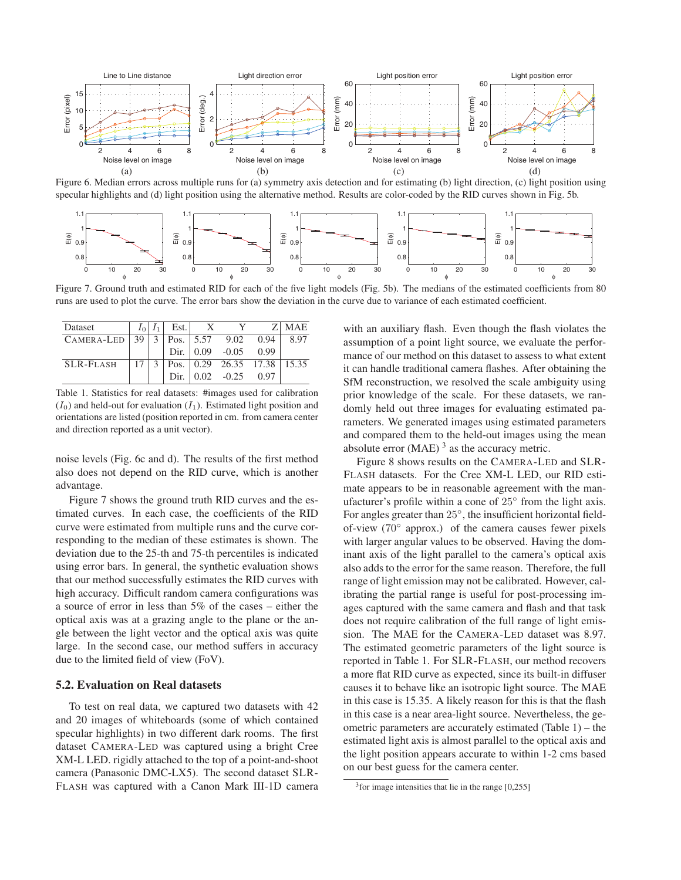

Figure 6. Median errors across multiple runs for (a) symmetry axis detection and for estimating (b) light direction, (c) light position using specular highlights and (d) light position using the alternative method. Results are color-coded by the RID curves shown in Fig. 5b.



Figure 7. Ground truth and estimated RID for each of the five light models (Fig. 5b). The medians of the estimated coefficients from 80 runs are used to plot the curve. The error bars show the deviation in the curve due to variance of each estimated coefficient.

| Dataset                                     |                 |               | $I_0 I_1 $ Est. | $\mathbf{x}$ | Y                                                                |      | Z MAE |
|---------------------------------------------|-----------------|---------------|-----------------|--------------|------------------------------------------------------------------|------|-------|
| CAMERA-LED   39   3   Pos.   5.57 9.02 0.94 |                 |               |                 |              |                                                                  |      | 8.97  |
|                                             |                 |               |                 |              | Dir. $\begin{array}{ l} 0.09 \quad -0.05 \quad 0.99 \end{array}$ |      |       |
| SLR-Flash                                   | 17 <sup>1</sup> | $\mathcal{E}$ |                 |              | $\vert$ Pos. $\vert$ 0.29 26.35 17.38 $\vert$ 15.35              |      |       |
|                                             |                 |               | Dir.            |              | $0.02 - 0.25$                                                    | 0.97 |       |

Table 1. Statistics for real datasets: #images used for calibration  $(I_0)$  and held-out for evaluation  $(I_1)$ . Estimated light position and orientations are listed (position reported in cm. from camera center and direction reported as a unit vector).

noise levels (Fig. 6c and d). The results of the first method also does not depend on the RID curve, which is another advantage.

Figure 7 shows the ground truth RID curves and the estimated curves. In each case, the coefficients of the RID curve were estimated from multiple runs and the curve corresponding to the median of these estimates is shown. The deviation due to the 25-th and 75-th percentiles is indicated using error bars. In general, the synthetic evaluation shows that our method successfully estimates the RID curves with high accuracy. Difficult random camera configurations was a source of error in less than 5% of the cases – either the optical axis was at a grazing angle to the plane or the angle between the light vector and the optical axis was quite large. In the second case, our method suffers in accuracy due to the limited field of view (FoV).

## 5.2. Evaluation on Real datasets

To test on real data, we captured two datasets with 42 and 20 images of whiteboards (some of which contained specular highlights) in two different dark rooms. The first dataset CAMERA-LED was captured using a bright Cree XM-L LED. rigidly attached to the top of a point-and-shoot camera (Panasonic DMC-LX5). The second dataset SLR-FLASH was captured with a Canon Mark III-1D camera with an auxiliary flash. Even though the flash violates the assumption of a point light source, we evaluate the performance of our method on this dataset to assess to what extent it can handle traditional camera flashes. After obtaining the SfM reconstruction, we resolved the scale ambiguity using prior knowledge of the scale. For these datasets, we randomly held out three images for evaluating estimated parameters. We generated images using estimated parameters and compared them to the held-out images using the mean absolute error  $(MAE)$ <sup>3</sup> as the accuracy metric.

Figure 8 shows results on the CAMERA-LED and SLR-FLASH datasets. For the Cree XM-L LED, our RID estimate appears to be in reasonable agreement with the manufacturer's profile within a cone of 25◦ from the light axis. For angles greater than 25◦, the insufficient horizontal fieldof-view (70◦ approx.) of the camera causes fewer pixels with larger angular values to be observed. Having the dominant axis of the light parallel to the camera's optical axis also adds to the error for the same reason. Therefore, the full range of light emission may not be calibrated. However, calibrating the partial range is useful for post-processing images captured with the same camera and flash and that task does not require calibration of the full range of light emission. The MAE for the CAMERA-LED dataset was 8.97. The estimated geometric parameters of the light source is reported in Table 1. For SLR-FLASH, our method recovers a more flat RID curve as expected, since its built-in diffuser causes it to behave like an isotropic light source. The MAE in this case is 15.35. A likely reason for this is that the flash in this case is a near area-light source. Nevertheless, the geometric parameters are accurately estimated (Table 1) – the estimated light axis is almost parallel to the optical axis and the light position appears accurate to within 1-2 cms based on our best guess for the camera center.

 $3$  for image intensities that lie in the range [0,255]